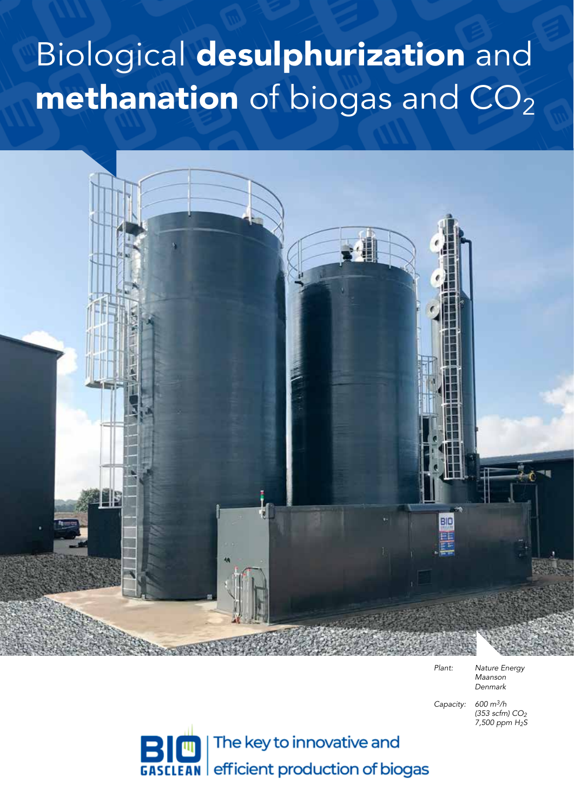# Biological desulphurization and  $\mathbf m$ ethanation of biogas and  $\mathbf{CO}_2$



*Plant: Nature Energy Maanson Denmark*

*Capacity: 600 m3/h (353 scfm) CO2 7,500 ppm H2S*

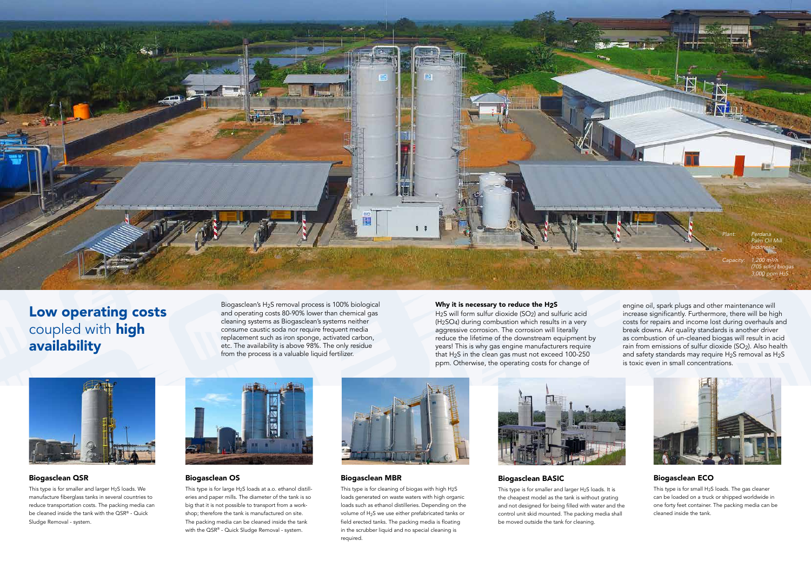#### Biogasclean QSR

This type is for smaller and larger H2S loads. We manufacture fiberglass tanks in several countries to reduce transportation costs. The packing media can be cleaned inside the tank with the QSR® - Quick Sludge Removal - system.

This type is for large H2S loads at a.o. ethanol distilleries and paper mills. The diameter of the tank is so big that it is not possible to transport from a workshop; therefore the tank is manufactured on site. The packing media can be cleaned inside the tank with the QSR® - Quick Sludge Removal - system.





#### Biogasclean OS

#### Why it is necessary to reduce the H2S

This type is for smaller and larger H<sub>2</sub>S loads. It is the cheapest model as the tank is without grating and not designed for being filled with water and the control unit skid mounted. The packing media shall be moved outside the tank for cleaning.

H2S will form sulfur dioxide (SO2) and sulfuric acid (H2SO4) during combustion which results in a very aggressive corrosion. The corrosion will literally reduce the lifetime of the downstream equipment by years! This is why gas engine manufacturers require that H2S in the clean gas must not exceed 100-250 ppm. Otherwise, the operating costs for change of



## Low operating costs coupled with **high** availability

#### Biogasclean BASIC

#### Biogasclean MBR

This type is for cleaning of biogas with high H2S loads generated on waste waters with high organic loads such as ethanol distilleries. Depending on the volume of H2S we use either prefabricated tanks or field erected tanks. The packing media is floating in the scrubber liquid and no special cleaning is required.



### Biogasclean ECO

This type is for small H2S loads. The gas cleaner can be loaded on a truck or shipped worldwide in one forty feet container. The packing media can be cleaned inside the tank.

engine oil, spark plugs and other maintenance will increase significantly. Furthermore, there will be high costs for repairs and income lost during overhauls and break downs. Air quality standards is another driver as combustion of un-cleaned biogas will result in acid rain from emissions of sulfur dioxide (SO2). Also health and safety standards may require H2S removal as H2S is toxic even in small concentrations.



Biogasclean's H2S removal process is 100% biological and operating costs 80-90% lower than chemical gas cleaning systems as Biogasclean's systems neither consume caustic soda nor require frequent media replacement such as iron sponge, activated carbon, etc. The availability is above 98%. The only residue from the process is a valuable liquid fertilizer.